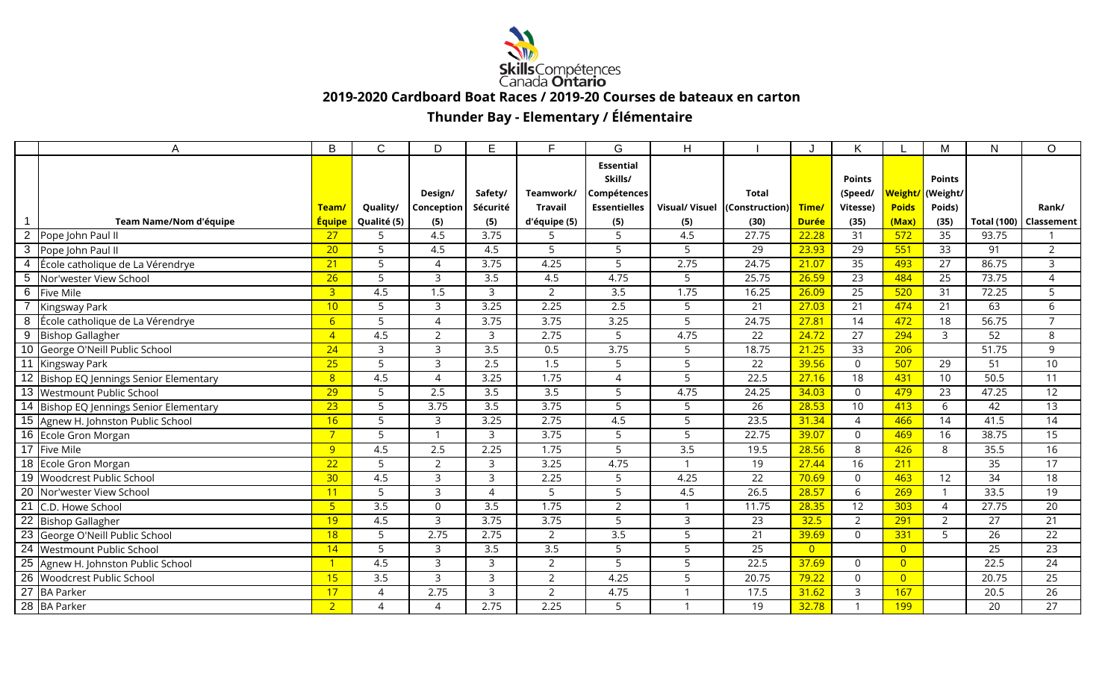

 **2019-2020 Cardboard Boat Races / 2019-20 Courses de bateaux en carton**

## **Thunder Bay - Elementary / Élémentaire**

|                 | A                                       | B               | $\mathsf{C}$   | D                 | E                | F                | G                   | H                |                              |                | K              |                | M                | N                  | $\circ$         |
|-----------------|-----------------------------------------|-----------------|----------------|-------------------|------------------|------------------|---------------------|------------------|------------------------------|----------------|----------------|----------------|------------------|--------------------|-----------------|
|                 |                                         |                 |                |                   |                  |                  | <b>Essential</b>    |                  |                              |                |                |                |                  |                    |                 |
|                 |                                         |                 |                |                   |                  |                  | Skills/             |                  |                              |                | <b>Points</b>  |                | <b>Points</b>    |                    |                 |
|                 |                                         |                 |                | Design/           | Safety/          | Teamwork/        | Compétences         |                  | <b>Total</b>                 |                | (Speed/        |                | Weight/ (Weight/ |                    |                 |
|                 |                                         | Team/           | Quality/       | <b>Conception</b> | Sécurité         | Travail          | <b>Essentielles</b> |                  | Visual/Visuel (Construction) | Time/          | Vitesse)       | <b>Poids</b>   | Poids)           |                    | Rank/           |
|                 | Team Name/Nom d'équipe                  | <b>Équipe</b>   | Qualité (5)    | (5)               | (5)              | d'équipe (5)     | (5)                 | (5)              | (30)                         | <b>Durée</b>   | (35)           | (Max)          | (35)             | <b>Total (100)</b> | Classement      |
| $\overline{2}$  | Pope John Paul II                       | $\overline{27}$ | $\overline{5}$ | 4.5               | 3.75             |                  | 5                   | 4.5              | 27.75                        | 22.28          | 31             | 572            | 35               | 93.75              |                 |
| 3               | Pope John Paul II                       | 20 <sup>°</sup> | 5              | 4.5               | 4.5              | 5                | 5                   | 5                | 29                           | 23.93          | 29             | 551            | 33               | 91                 | $\overline{2}$  |
| $\overline{4}$  | École catholique de La Vérendrye        | 21              | 5              | $\Delta$          | 3.75             | 4.25             | 5                   | 2.75             | 24.75                        | 21.07          | 35             | 493            | 27               | 86.75              | 3               |
| 5               | Nor'wester View School                  | 26              | 5              | 3                 | 3.5              | 4.5              | 4.75                | 5                | 25.75                        | 26.59          | 23             | 484            | 25               | 73.75              | $\overline{4}$  |
| 6               | Five Mile                               | 3 <sup>1</sup>  | 4.5            | 1.5               | $\mathbf{3}$     | $\overline{2}$   | $\overline{3.5}$    | 1.75             | 16.25                        | 26.09          | 25             | 520            | 31               | 72.25              | 5               |
|                 | Kingsway Park                           | 10              | 5              | 3                 | 3.25             | 2.25             | 2.5                 | 5                | 21                           | 27.03          | 21             | 474            | 21               | 63                 | 6               |
| 8               | École catholique de La Vérendrye        | 6 <sup>1</sup>  | 5              | $\Delta$          | 3.75             | 3.75             | 3.25                | 5                | 24.75                        | 27.81          | 14             | 472            | 18               | 56.75              | $\overline{7}$  |
| $\overline{9}$  | <b>Bishop Gallagher</b>                 | $\overline{4}$  | 4.5            | 2                 | 3                | 2.75             | 5                   | 4.75             | 22                           | 24.72          | 27             | 294            | 3                | 52                 | 8               |
|                 | 10 George O'Neill Public School         | $\overline{24}$ | $\mathbf{3}$   | 3                 | $\overline{3.5}$ | 0.5              | 3.75                | 5                | 18.75                        | 21.25          | 33             | 206            |                  | 51.75              | 9               |
| 11              | Kingsway Park                           | 25              | 5              | $\mathbf{z}$      | 2.5              | 1.5              | 5                   | 5                | 22                           | 39.56          | $\Omega$       | 507            | 29               | 51                 | 10              |
|                 | 12 Bishop EQ Jennings Senior Elementary | 8               | 4.5            | $\Delta$          | 3.25             | 1.75             | 4                   | 5                | 22.5                         | 27.16          | 18             | 431            | 10 <sup>°</sup>  | 50.5               | 11              |
|                 | 13 Westmount Public School              | 29              | 5              | 2.5               | 3.5              | $\overline{3.5}$ | 5                   | 4.75             | 24.25                        | 34.03          | $\Omega$       | 479            | 23               | 47.25              | 12              |
|                 | 14 Bishop EQ Jennings Senior Elementary | 23              | 5              | 3.75              | 3.5              | 3.75             | 5                   | 5                | 26                           | 28.53          | 10             | 413            | 6                | 42                 | 13              |
|                 | 15 Agnew H. Johnston Public School      | 16              | 5              | 3                 | 3.25             | 2.75             | 4.5                 | 5                | 23.5                         | 31.34          | $\overline{4}$ | 466            | 14               | 41.5               | 14              |
|                 | 16 Ecole Gron Morgan                    | $7^{\circ}$     | 5              |                   | $\overline{3}$   | 3.75             | 5                   | 5                | 22.75                        | 39.07          | $\Omega$       | 469            | 16               | 38.75              | 15              |
|                 | 17 Five Mile                            | 9               | 4.5            | 2.5               | 2.25             | 1.75             | 5                   | $\overline{3.5}$ | 19.5                         | 28.56          | 8              | 426            | 8                | 35.5               | 16              |
|                 | 18 Ecole Gron Morgan                    | 22              | 5              | 2                 | 3                | 3.25             | 4.75                | $\mathbf{1}$     | 19                           | 27.44          | 16             | 211            |                  | 35                 | 17              |
|                 | 19 Woodcrest Public School              | 30 <sub>2</sub> | 4.5            | 3                 | 3                | 2.25             | 5                   | 4.25             | 22                           | 70.69          | $\Omega$       | 463            | 12               | 34                 | 18              |
|                 | 20 Nor'wester View School               | 11              | 5              | 3                 | $\overline{A}$   | 5                | 5                   | 4.5              | 26.5                         | 28.57          | 6              | 269            | $\mathbf{1}$     | 33.5               | $\overline{19}$ |
| $\overline{21}$ | C.D. Howe School                        | 5 <sub>o</sub>  | 3.5            | $\Omega$          | 3.5              | 1.75             | $\overline{2}$      |                  | 11.75                        | 28.35          | 12             | 303            | 4                | 27.75              | 20              |
| $\overline{22}$ | <b>Bishop Gallagher</b>                 | 19              | 4.5            | 3                 | 3.75             | 3.75             | 5                   | 3                | 23                           | 32.5           | $\overline{2}$ | 291            | $\overline{2}$   | 27                 | 21              |
| $\overline{23}$ | George O'Neill Public School            | 18              | 5              | 2.75              | 2.75             | 2                | 3.5                 | 5                | 21                           | 39.69          | $\Omega$       | 331            | 5                | 26                 | 22              |
| $\overline{24}$ | Westmount Public School                 | 14              | 5              | 3                 | 3.5              | 3.5              | 5                   | 5                | 25                           | $\overline{0}$ |                | $\overline{0}$ |                  | 25                 | 23              |
| $\overline{25}$ | Agnew H. Johnston Public School         | $\overline{1}$  | 4.5            | 3                 | 3                | $\overline{2}$   | 5                   | 5                | 22.5                         | 37.69          | $\Omega$       | $\overline{0}$ |                  | 22.5               | 24              |
| 26              | <b>Woodcrest Public School</b>          | 15              | 3.5            | 3                 | $\overline{3}$   | $\overline{2}$   | 4.25                | 5                | 20.75                        | 79.22          | $\Omega$       | $\overline{0}$ |                  | 20.75              | 25              |
| 27              | <b>BA Parker</b>                        | 17              | $\Delta$       | 2.75              | $\overline{3}$   | $\overline{2}$   | 4.75                |                  | 17.5                         | 31.62          | 3              | 167            |                  | 20.5               | 26              |
|                 | 28 BA Parker                            | 2 <sup>1</sup>  | $\Delta$       | $\Delta$          | 2.75             | 2.25             | 5                   |                  | 19                           | 32.78          |                | 199            |                  | 20                 | 27              |